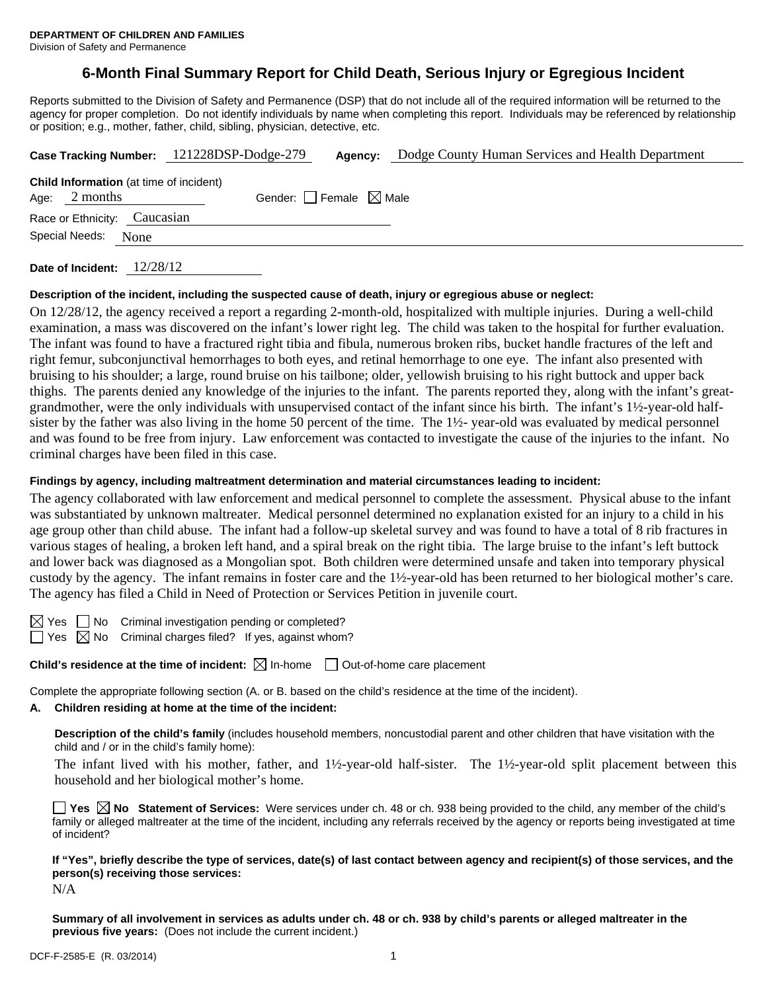# **6-Month Final Summary Report for Child Death, Serious Injury or Egregious Incident**

Reports submitted to the Division of Safety and Permanence (DSP) that do not include all of the required information will be returned to the agency for proper completion. Do not identify individuals by name when completing this report. Individuals may be referenced by relationship or position; e.g., mother, father, child, sibling, physician, detective, etc.

|  |                 |                                                | Case Tracking Number: 121228DSP-Dodge-279 |  | Dodge County Human Services and Health Department |  |  |
|--|-----------------|------------------------------------------------|-------------------------------------------|--|---------------------------------------------------|--|--|
|  | Age: $2$ months | <b>Child Information</b> (at time of incident) | Gender: Female $\boxtimes$ Male           |  |                                                   |  |  |
|  |                 | Race or Ethnicity: Caucasian                   |                                           |  |                                                   |  |  |
|  | Special Needs:  | None                                           |                                           |  |                                                   |  |  |
|  |                 |                                                |                                           |  |                                                   |  |  |

**Date of Incident:** 12/28/12

#### **Description of the incident, including the suspected cause of death, injury or egregious abuse or neglect:**

On 12/28/12, the agency received a report a regarding 2-month-old, hospitalized with multiple injuries. During a well-child examination, a mass was discovered on the infant's lower right leg. The child was taken to the hospital for further evaluation. The infant was found to have a fractured right tibia and fibula, numerous broken ribs, bucket handle fractures of the left and right femur, subconjunctival hemorrhages to both eyes, and retinal hemorrhage to one eye. The infant also presented with bruising to his shoulder; a large, round bruise on his tailbone; older, yellowish bruising to his right buttock and upper back thighs. The parents denied any knowledge of the injuries to the infant. The parents reported they, along with the infant's greatgrandmother, were the only individuals with unsupervised contact of the infant since his birth. The infant's 1½-year-old halfsister by the father was also living in the home 50 percent of the time. The  $1\frac{1}{2}$ - year-old was evaluated by medical personnel and was found to be free from injury. Law enforcement was contacted to investigate the cause of the injuries to the infant. No criminal charges have been filed in this case.

#### **Findings by agency, including maltreatment determination and material circumstances leading to incident:**

The agency collaborated with law enforcement and medical personnel to complete the assessment. Physical abuse to the infant was substantiated by unknown maltreater. Medical personnel determined no explanation existed for an injury to a child in his age group other than child abuse. The infant had a follow-up skeletal survey and was found to have a total of 8 rib fractures in various stages of healing, a broken left hand, and a spiral break on the right tibia. The large bruise to the infant's left buttock and lower back was diagnosed as a Mongolian spot. Both children were determined unsafe and taken into temporary physical custody by the agency. The infant remains in foster care and the 1½-year-old has been returned to her biological mother's care. The agency has filed a Child in Need of Protection or Services Petition in juvenile court.

 $\boxtimes$  Yes  $\Box$  No Criminal investigation pending or completed?

 $\Box$  Yes  $\boxtimes$  No Criminal charges filed? If yes, against whom?

**Child's residence at the time of incident:**  $\boxtimes$  In-home  $\Box$  Out-of-home care placement

Complete the appropriate following section (A. or B. based on the child's residence at the time of the incident).

# **A. Children residing at home at the time of the incident:**

**Description of the child's family** (includes household members, noncustodial parent and other children that have visitation with the child and / or in the child's family home):

 The infant lived with his mother, father, and 1½-year-old half-sister. The 1½-year-old split placement between this household and her biological mother's home.

**Yes**  $\boxtimes$  **No** Statement of Services: Were services under ch. 48 or ch. 938 being provided to the child, any member of the child's family or alleged maltreater at the time of the incident, including any referrals received by the agency or reports being investigated at time of incident?

**If "Yes", briefly describe the type of services, date(s) of last contact between agency and recipient(s) of those services, and the person(s) receiving those services:**  N/A

**Summary of all involvement in services as adults under ch. 48 or ch. 938 by child's parents or alleged maltreater in the previous five years:** (Does not include the current incident.)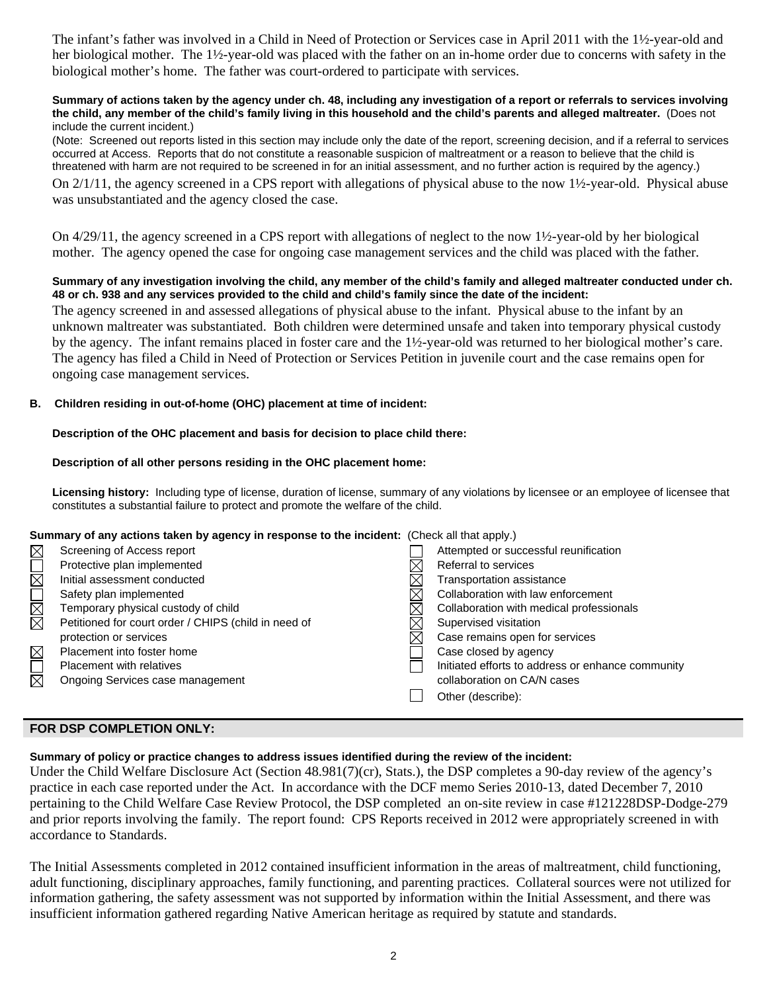The infant's father was involved in a Child in Need of Protection or Services case in April 2011 with the 1½-year-old and her biological mother. The 1½-year-old was placed with the father on an in-home order due to concerns with safety in the biological mother's home. The father was court-ordered to participate with services.

#### **Summary of actions taken by the agency under ch. 48, including any investigation of a report or referrals to services involving the child, any member of the child's family living in this household and the child's parents and alleged maltreater.** (Does not include the current incident.)

(Note: Screened out reports listed in this section may include only the date of the report, screening decision, and if a referral to services occurred at Access. Reports that do not constitute a reasonable suspicion of maltreatment or a reason to believe that the child is threatened with harm are not required to be screened in for an initial assessment, and no further action is required by the agency.) On 2/1/11, the agency screened in a CPS report with allegations of physical abuse to the now 1½-year-old. Physical abuse was unsubstantiated and the agency closed the case.

On  $4/29/11$ , the agency screened in a CPS report with allegations of neglect to the now  $1\frac{1}{2}$ -year-old by her biological mother. The agency opened the case for ongoing case management services and the child was placed with the father.

### **Summary of any investigation involving the child, any member of the child's family and alleged maltreater conducted under ch. 48 or ch. 938 and any services provided to the child and child's family since the date of the incident:**

The agency screened in and assessed allegations of physical abuse to the infant. Physical abuse to the infant by an unknown maltreater was substantiated. Both children were determined unsafe and taken into temporary physical custody by the agency. The infant remains placed in foster care and the 1½-year-old was returned to her biological mother's care. The agency has filed a Child in Need of Protection or Services Petition in juvenile court and the case remains open for ongoing case management services.

# **B. Children residing in out-of-home (OHC) placement at time of incident:**

# **Description of the OHC placement and basis for decision to place child there:**

### **Description of all other persons residing in the OHC placement home:**

**Licensing history:** Including type of license, duration of license, summary of any violations by licensee or an employee of licensee that constitutes a substantial failure to protect and promote the welfare of the child.

### **Summary of any actions taken by agency in response to the incident:** (Check all that apply.)

| MOR         | Screening of Access report                           | Attempted or successful reunification             |
|-------------|------------------------------------------------------|---------------------------------------------------|
|             | Protective plan implemented                          | Referral to services                              |
|             | Initial assessment conducted                         | Transportation assistance                         |
|             | Safety plan implemented                              | Collaboration with law enforcement                |
|             | Temporary physical custody of child                  | Collaboration with medical professionals          |
| N<br>M      | Petitioned for court order / CHIPS (child in need of | Supervised visitation                             |
|             | protection or services                               | Case remains open for services                    |
| $\boxtimes$ | Placement into foster home                           | Case closed by agency                             |
| $\Box$      | <b>Placement with relatives</b>                      | Initiated efforts to address or enhance community |
|             | Ongoing Services case management                     | collaboration on CA/N cases                       |
|             |                                                      | Other (describe):                                 |
|             |                                                      |                                                   |

## **FOR DSP COMPLETION ONLY:**

### **Summary of policy or practice changes to address issues identified during the review of the incident:**

Under the Child Welfare Disclosure Act (Section 48.981(7)(cr), Stats.), the DSP completes a 90-day review of the agency's practice in each case reported under the Act. In accordance with the DCF memo Series 2010-13, dated December 7, 2010 pertaining to the Child Welfare Case Review Protocol, the DSP completed an on-site review in case #121228DSP-Dodge-279 and prior reports involving the family. The report found: CPS Reports received in 2012 were appropriately screened in with accordance to Standards.

The Initial Assessments completed in 2012 contained insufficient information in the areas of maltreatment, child functioning, adult functioning, disciplinary approaches, family functioning, and parenting practices. Collateral sources were not utilized for information gathering, the safety assessment was not supported by information within the Initial Assessment, and there was insufficient information gathered regarding Native American heritage as required by statute and standards.